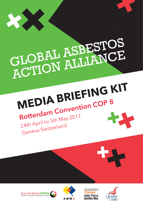

# GLOBAL ASBESTOS GLOBAL APPEANCE

## **MEDIA BRIEFING KIT Rotterdam Convention COP 8** 24th April to 5th May 2017 Geneva Switzerlan<sup>d</sup>





Australian Join. For a better life.

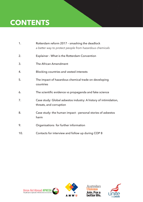### **CONTENTS**

| 1.  | Rotterdam reform 2017 - smashing the deadlock<br>a better way to protect people from hazardous chemicals |
|-----|----------------------------------------------------------------------------------------------------------|
| 2.  | <b>Explainer - What is the Rotterdam Convention</b>                                                      |
| 3.  | The African Amendment                                                                                    |
| 4.  | Blocking countries and vested interests                                                                  |
| 5.  | The impact of hazardous chemical trade on developing<br>countries                                        |
| 6.  | The scientific evidence vs propaganda and fake science                                                   |
| 7.  | Case study: Global asbestos industry: A history of intimidation,<br>threats, and corruption              |
| 8.  | Case study: the human impact - personal stories of asbestos<br>harm                                      |
| 9.  | Organisations for further information                                                                    |
| 10. | Contacts for interview and follow up during COP 8                                                        |





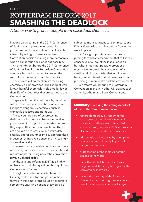### ROTTERDAM REFORM 2017 **SMASHING THE DEADLOCK**

*A better way to protect people from hazardous chemicals*

Nations participating in the 2017 Conference of Parties have a powerful opportunity to protect some of the world's most vulnerable citizens by voting to make Rotterdam Convention decision-making more democratic when a consensus decision is not possible.

An amendment before the 2017 Conference of Parties will make the Rotterdam Convention a more effective instrument to protect the world from the trade in harmful chemicals.

The current voting mechanism for listing chemicals is compromised. The listing of wellknown harmful chemicals is blocked by fewer than 5% of all countries that are parties to the Convention.

Repeatedly over the last decade, countries with a vested interest have been able to veto listings of dangerous chemicals, such as chrysotile asbestos and paraquat.

These countries are often protecting their own industries from having to receive prior consent of importing countries before they export their hazardous material. They are also known to pressure and intimidate smaller, poorer countries into supporting their industries, using fake science and increasingly aggressive tactics.

The result is that certain chemicals that have repeatedly met independent, evidence-based requirements for listing under the convention **remain unlisted today**.

Without voting reform in 2017, it is highly unlikely that their listing will get through future Conference of Parties.

The global market in deadly chemicals like chryostile asbestos and paraquat has thrived in this time, propped up by exports to sometimes unwitting nations that would be

subject to more stringent consent restrictions if the safeguards of the Rotterdam Convention were in place.

In 2017 a group of African countries is putting forward an amendment that still seeks consensus of all countries if at all possible, but where this is not possible provides a mechanism to break the veto power of a small handful of countries that would seem to have greater interest in short term profit than protecting human health and the environment.

Such reform would bring the Rotterdam Convention in line with other UN treaties such as the Stockholm and Basel Conventions.

#### Summary: **Breaking the voting deadlock of the Rotterdam Convention will:**

- restore democracy by removing the veto power of the minority who act in scandalous self-interest to block listing which currently requires 100% approval of all countries that ratify the Convention
- address global inequality by equipping poorer nations to identify imports of dangerous chemicals.
- protect some of the most vulnerable citizens in the world
- make the whole UN chemical treaty program work better by having all of the Conventions in synergy
- restore the integrity of the Rotterdam Convention by breaking the decade long deadlock on certain chemical listings

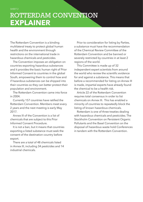### ROTTERDAM CONVENTION **EXPLAINER**

The Rotterdam Convention is a binding multilateral treaty to protect global human health and the environment through restrictions on the international trade in hazardous chemicals and pesticides.

The Convention imposes an obligation on countries exporting hazardous substances and it provides the basic human right of Prior Informed Consent to countries in the global South, empowering them to control how and if hazardous substances can be shipped into their countries so they can better protect their population and environment.

The Rotterdam Convention came into force in 2004.

Currently 157 countries have ratified the Rotterdam Convention. Members meet every 2 years and the next meeting is early May 2017.

Annex III of the Convention is a list of chemicals that are subject to this Prior Informed Consent Procedure.

It is not a ban, but it means that countries exporting a listed substance must seek the consent of the destination country before export.

There are a total of 48 chemicals listed in Annex III, including 34 pesticides and 14 industrial chemicals.

Prior to consideration for listing by Parties, a substance must have the recommendation of the Chemical Review Committee of the Rotterdam Convention and be banned or severely restricted by countries in at least 2 regions of the world.

This Committee is made up of 32 independent expert scientists from around the world who review the scientific evidence for and against a substance. This means that before a recommended for listing on Annex III is made, impartial experts have already found the chemical to be a health risk.

Article 22 of the Rotterdam Convention requires total consensus in order to list chemicals on Annex III. This has enabled a minority of countries to repeatedly block the listing of known hazardous chemicals.

Rotterdam is one of three treaties dealing with hazardous chemicals and pesticides. The Stockholm Convention on Persistent Organic Pollutants and the Basel Convention on the disposal of hazardous waste hold Conferences in tandem with the Rotterdam Convention.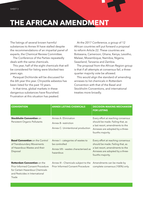### **THE AFRICAN AMENDMENT**

The listings of several known harmful substances to Annex III have stalled despite the recommendations of an impartial panel of experts, the Chemical Review Committee.

The Conference of the Parties repeatedly deals with the same chemicals.

This year, half of the eight chemicals that will be considered for listing were blocked two years ago.

Paraquat Dichloride will be discussed for the 6th year this year. Chrysotile asbestos has been listed for the past 10 years.

In that time, global markets in these dangerous substances have flourished. Frustration at this situation has peaked.

At the 2017 Conference, a group of 12 African countries will put forward a proposal to reform Article 22. These countries are: Botswana, Cameroon, Ghana, Kenya, Lesotho, Malawi, Mozambique, Namibia, Nigeria, Swaziland, Tanzania and Zambia.

The proposal from the African Region group is that if all attempts at consensus fail, a threequarter majority vote be allowed.

This would align the standard of amending annexes to list chemicals in Rotterdam Convention with that of the Basel and Stockholm Conventions, and international treaties more broadly.

| <b>CONVENTION</b>                                                                                                                              | <b>ANNEX LISTING CHEMICALS</b>                                                                          | <b>DECISION-MAKING MECHANISM</b><br><b>FOR LISTING</b>                                                                                                             |
|------------------------------------------------------------------------------------------------------------------------------------------------|---------------------------------------------------------------------------------------------------------|--------------------------------------------------------------------------------------------------------------------------------------------------------------------|
| Stockholm Convention on<br>Persistent Organic Pollutants                                                                                       | Annex A- Elimination<br>Annex B-restriction<br>Annex C- Unintentional production                        | Every effort at reaching consensus<br>should be made. Failing that, as<br>a last resort, amendments to the<br>Annexes are adopted by a three-<br>fourths majority. |
| <b>Basel Convention on the Control</b><br>of Transboundary Movements<br>of Hazardous Wastes and their<br>Disposal                              | Annex I - categories of wastes to<br>be controlled<br>Annex VIII - wastes characterised as<br>hazardous | Every effort at reaching consensus<br>should be made. Failing that, as<br>a last resort, amendments to the<br>Annexes are adopted by a three-<br>fourths majority. |
| Rotterdam Convention on the<br>Prior Informed Consent Procedure<br>for Certain Hazardous Chemicals<br>and Pesticides in International<br>Trade | Annex III - Chemicals subject to the<br>Prior Informed Consent Procedure                                | Amendments can be made by<br>complete consensus (100%) only.                                                                                                       |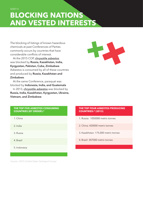### **BLOCKING NATIONS AND VESTED INTERESTS**

The blocking of listings of known hazardous chemicals at past Conferences of Parties commonly occurs by countries that have considerable conflicts of interest.

At the 2015 COP, chrysotile asbestos was blocked by **Russia, Kazakhstan, India, Kyrgyzstan, Pakistan, Cuba, Zimbabwe**. Asbestos is consumed by all of these countries and produced by **Russia, Kazakhstan and Zimbabwe**.

At the same Conference, paraquat was blocked by **Indonesia, India, and Guatemala**

In 2013, chrysotile asbestos was blocked by **Russia, India, Kazakhstan, Kyrgyzstan, Ukraine, Vietnam, and Zimbabwe**.



#### **THE TOP FIVE ASBESTOS CONSUMING COUNTRIES (BY ORDER):\***

| 1. China     |  |
|--------------|--|
| 2. India     |  |
| 3. Russia    |  |
| 4. Brazil    |  |
| 5. Indonesia |  |

#### **THE TOP FOUR ASBESTOS PRODUCING COUNTRIES:\* (2013)**

- 1. Russia: 1050000 metric tonnes
- 2. China: 420000 metric tonnes
- 3. Kazakhstan: 175,000 metric tonnes
- 4. Brazil: 307000 metric tonnes

*\*source: USGS (United States Geological Survey)*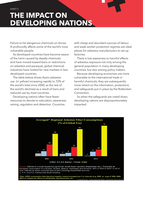### **THE IMPACT ON DEVELOPING NATIONS**

Failure to list dangerous chemicals on Annex III profoundly affects some of the world's most vulnerable people.

As developed countries have become aware of the harm caused by deadly chemicals and have moved toward bans or restrictions on asbestos and paraquat, global chemical industries have looked for new markets in less developed countries.

The table below shows Asia's asbestos use (in yellow) increasing rapidly to 72% of the world's total since 2000, as the rest of the world's declined as a result of bans and reduced use by most countries.

Developing nations often have fewer resources to devote to education, awareness raising, regulation and detection. Countries

with cheap and abundant sources of labour and weak worker protection regimes are ideal places for asbestos manufacturers to set up factories.

There is low awareness to harmful effects of asbestos exposure not only among the general population in many developing countries, but also among policy makers.

Because developing economies are more vulnerable to the international trade in harmful chemicals, they are subsequently more reliant on the information, protections and safeguards put in place by the Rotterdam Convention.

So when the safeguards are voted down, developing nations are disproportionately impacted.



ope: Defined to include Russia but not former Soviet Asian republics (Kazakhstan etc.). Practically all European consumption is in Russia, Ukraine, Belarus, Azerbaijan and Armenia: 94% in 2000 to 99%+ in 2013<br>Asia: Defined as Asian countries east of (and including) Kazakhstan and Iran. C. & S. America: Central and South America.

.<br>"Data: USGS consumption data (ignoring negative values) averaged over 3 yr intervals (e.g. 2000 as avge of 1999, 2000,<br>2001) to mitigate the effects of stockpiling, reporting errors, etc. \_\_\_\_\_\_\_\_\_\_\_\_\_\_\_\_\_\_\_\_\_\_\_\_\_\_\_\_\_\_ Compiled by International Ban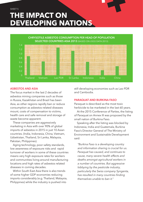### **THE IMPACT ON DEVELOPING NATIONS** SHEET 5



#### **ASBESTOS AND ASIA**

The focus market in the last 2 decades of asbestos mining companies such as those in Russia, Kazakhstan and Brazil has been Asia, as other regions rapidly ban or reduce consumption as asbestos related diseases mount, costs of compensation to victims, health care and safe removal and storage of waste become apparent.

These companies are aggressively marketing in Asia with over 90% of global imports of asbestos in 2015 in just 10 Asian countries. (India, Indonesia, China, Vietnam, Uzbekistan, Thailand, Sri Lanka, Malaysia, Pakistan, Philippines).

Aging technology, poor safety standards, low awareness of exposure risks and rapid turnover of workers in some of these countries means very high exposure rates for workers and communities living around manufacturing locations and high rates of asbestos related diseases in coming decades.

Within South East Asia there is also trends of some higher GDP economies reducing imports considerably (e.g. Thailand, Malaysia, Philippines) while the industry is pushed into

still developing economies such as Lao PDR and Cambodia.

#### **PARAQUAT AND BURKINA FASO**

Paraquat is described as the most toxic herbicide to be marketed in the last 60 years.

At the 2015 Conference of Parties, the listing of Paraquat on Annex III was proposed by the small nation of Burkina Faso.

Speaking after the listing was blocked by Indonesia, India and Guatemala, Burkina Faso's Director General of The Ministry of Environment and Sustainable Development said:

*"Burkina Faso is a developing country and information sharing is crucial for us. Paraquat has caused, and continues to cause, many severe health effects and deaths amongst agricultural workers in a number of countries. But aggressive lobbying by the pesticide industry, particularly the Swiss company Syngenta, has resulted in many countries finding themselves unable to ban it."*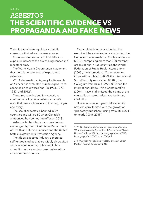### ASBESTOS **THE SCIENTIFIC EVIDENCE VS PROPAGANDA AND FAKE NEWS**

There is overwhelming global scientific consensus that asbestos causes cancer.

Countless studies confirm that asbestos exposure increases the risk of lung cancer and mesothelioma.

The World Health Organisation is adamant that there is no safe level of exposure to asbestos.

WHO's International Agency for Research on Cancer has evaluated human exposure to asbestos on four occasions – in 1973, 1977, 1987, and  $2012^1$ .

These repeated scientific evaluations confirm that all types of asbestos cause's mesothelioma and cancers of the lung, larynx and ovary.

The use of asbestos is banned in 59 countries and will be 60 when Canada's announced ban comes into effect in 2018.

Asbestos is classified as a known human carcinogen by the United States Department of Health and Human Services and the United States Environmental Protection Agency.

The global asbestos industry generates self-funded studies that are widely discredited as counterfeit science, published in fake scientific journals and not peer reviewed by independent scientists.

Every scientific organisation that has examined the asbestos issue – including The Union for the International Control of Cancer (2012), comprising more than 700 member organisations in 155 countries, the World Federation of Public Health Associations (2005), the International Commission on Occupational Health (2000), the International Social Security Association (2004), the Collegium Ramazzini (1999, 2010) and the International Trade Union Confederation (2004) – have all dismissed the claims of the chrysotile asbestos industry as having no credibility.

However, in recent years, fake scientific news has proliferated with the growth of "predatory publishers" rising from 18 in 2011, to nearly 700 in 2015<sup>2</sup>.

\_\_\_\_\_\_\_\_\_\_\_\_\_\_\_\_\_\_\_\_\_\_\_\_\_\_\_\_\_\_\_\_\_\_\_\_\_\_\_\_\_\_

<sup>1.</sup> WHO International Agency for Research on Cancer, "Monographs on the Evaluation of Carcinogenic Risks to Humans" Volume 100 http://monographs.iarc.fr/ENG/ Monographs/vol100C/mono100C.pdf

<sup>2. &</sup>quot;Firm action needed on predatory journals", British Medical Journal, 16 January 2015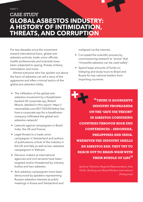### CASE STUDY **GLOBAL ASBESTOS INDUSTRY: A HISTORY OF INTIMIDATION, THREATS, AND CORRUPTION**

For two decades since the movement toward international bans, global antiasbestos activists, trade union officials, health professionals and scientists have been subjected to spying, threats, bribery, intimidation and more.

Almost everyone who has spoken out about the harm of asbestos can tell a story of the aggressive and often criminal tactics of the global pro-asbestos lobby.

- The infiltration of the global antiasbestos movement by a Kazakhstani backed UK corporate spy, Robert Moore, detailed in this report: https:// newmatilda.com/2017/03/05/lethal-lieshow-a-corporate-spy-for-a-kazakhstancompany-infiltrated-the-global-antiasbestos-network/
- Lawsuits against campaigners in Brazil, India, the UK and France;
- Legal threats to a trade union campaigner in Switzerland and authors of publications critical of the industry in the UK and Italy as well as ban asbestos campaigners in Vietnam.
- Decision makers at international agencies and civil servants have been targeted and/or threatened by industry bullies and ban asbestos
- Anti asbestos campaigners have been denounced by speakers representing Russian asbestos interests at public meetings in Korea and Switzerland and

maligned via the internet.

- Corrupted the scientific process by commissioning research to "prove" that "chrysotile asbestos can be used safely".
- Spend large amounts of funds on lobbying and study tours to Brazil and Russia for key national leaders from importing countries

**"THERE IS AGGRESSIVE INDUSTRY PROPAGANDA ON THE 'SAFE USE THEORY' IN ASBESTOS CONSUMING COUNTRIES THROUGH HIGH END CONFERENCES – INDONESIA, PHILIPPINES AND INDIA. WHEREVER THE INDUSTRY SMELLS AN ASBESTOS BAN, THEY TRY TO REACH OUT TO BRAIN-WASH WITH THEIR BUNDLE OF LIES"** 

Apolinar Tolentino, Regional Representative, Asia Pacific, Building and Wood Workers International (Philippines)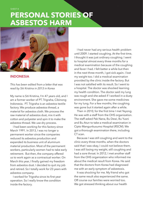SHEET 8

### **PERSONAL STORIES OF ASBESTOS HARM**



#### **INDONESIA**

*This has been edited from a letter that was read by Siti Kristina in 2013 in Korea*

My name is Siti Kristina, I'm 47 years old, and I am a former worker of PT. Trigraha, Cibinong Indonesia. PT. Trigraha is an asbestos textile factory. We produce asbestos thread, a material for asbestos cloth. We process the raw material of asbestos dust, mix it with cotton and polyester and spin it to make the asbestos thread. We use dry process.

I had been working for this factory since March 1991. In 2013, I was no longer a permanent worker since the companies reduced its asbestos production and expanded its business unit of aluminum material production. Most of the permanent workers, particularly women had to take early retirement. But then, the company offered us to work again as a contractual worker. On March this year, I finally gained my freedom from asbestos dust. I decided to quit my job and retired. So I totally work for 23 years with asbestos company.

I worked for Trigraha since its first year operation. So I really know the condition inside the factory.

I had never had any serious health problem until 2009. I started coughing. At the first time, I thought it was just ordinary coughing. I went to hospital almost every three months for a medical examination because of the coughing and fever I had. I felt better a while but then in the next three month, I got sick again. I lost my weight too. I did a medical examination provided by the clinic inside the factory. But I was not satisfied with its result. So I went to a hospital. The doctor was shocked learning my health condition. The doctor said my lung was rough and she asked if I worked in a dusty environment. She gave me some medicines for my lung. For a few months, the coughing was gone but it started again after a while.

Then in 2010, for the first time I met Yeyong. He was with a staff from the OHS organization. The staff asked Pak Nana, Bu Dewi, Bu Yusni and Bu Atun to take a medical examination in Cipto Mangunkusumo Hospital (RSCM). We got a thorough examination there, including CT scan.

Because I was still coughing and went to the clinic every three months, when the doctors said that I was okay, I could not believe them. I was still losing my weight, still coughing and had a sore throat. In 2012, I met another staff from the OHS organization who informed me about the medical result from Korea. He said that the doctors from Korea had diagnosed me with an early symptom of asbestosis.

It was shocking for me. My friend who got the same result also experienced the same. Off course our families were worried too. We got stressed thinking about our health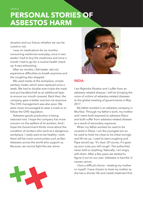### **PERSONAL STORIES OF ASBESTOS HARM**

situation and our future, whether we can be cured or not.

I was on medications for six months, consuming medicines everyday, once in two weeks I had to buy the medicines and once a month I had to go for a routine health checkup. It was exhausting.

After six months, I felt better, did not experience difficulties to breath anymore and the coughing also stopped.

We used masks at the workplace, simple sanitary masks, which were replaced once a week. We had to double even triple the mask and put handkerchief as an additional layer to ensure our mouth covered. Back then, the company gave a better one but not anymore. The OHS management was also poor. We were never encouraged to wear a mask or to follow the OHS regulation.

Asbestos goods production is being reduced now. I hope the company has more concern on the welfare of its workers. And I hope the Government thinks more about the condition of workers who work at a dangerous workplace. I really want to be healthy. I wish there will be more communities such as Ban Asbestos across the world who support us. Because, we cannot fight this war alone.



### **INDIA**

I am Rajendra Pevekar and I suffer from an asbestos-related disease. I will be bringing the voice of victims of asbestos-related diseases to the global meeting of governments in May 2017.

My father worked in an asbestos company in Mumbai. Through my father's work, my mother and I were both exposed to asbestos fibers and both suffer from asbestos-related disease as a result of secondary exposure.

When my father worked he used to be covered in fibres. I am the youngest son so he used to hold me close to his chest lovingly and lift me up. I used to start coughing and Papa would say: 'It's dust. Of course, if it goes up your nose you will cough'. The authorities never told us anything. Naturally, I am angry with them. After a few years we started to figure it out on our own. Asbestos is harmful. It causes cancer.

I face a difficult choice – treating my mother or myself. I have chosen to treat my mother as she has a shorter life and needs treatment first.

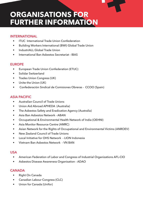### **ORGANISATIONS FOR FURTHER INFORMATION**

### **INTERNATIONAL**

- **ITUC** International Trade Union Confederation
- • Building Workers International (BWI) Global Trade Union
- IndustriALL Global Trade Union
- International Ban Asbestos Secretariat IBAS

### **EUROPE**

- • European Trade Union Confederation (ETUC)
- • Solidar Switzerland
- • Trades Union Congress (UK)
- Unite the Union (UK)
- • Confederación Sindical de Comisiones Obreras CCOO (Spain)

### **ASIA PACIFIC**

- • Australian Council of Trade Unions
- • Union Aid Abroad APHEDA (Australia)
- The Asbestos Safety and Eradication Agency (Australia)
- • Asia Ban Asbestos Network ABAN
- • Occupational & Environmental Health Network of India (OEHNI)
- Asia Monitor Resource Centre (AMRC)
- Asian Network for the Rights of Occupational and Environmental Victims (ANROEV)
- New Zealand Council of Trade Unions
- • Local Initiative for OHS Network LION Indonesia
- • Vietnam Ban Asbestos Network VN BAN

### **USA**

- American Federation of Labor and Congress of Industrial Organizations AFL-CIO
- • Asbestos Disease Awareness Organisation ADAO

### **CANADA**

- • Right On Canada
- • Canadian Labour Congress (CLC)
- • Union for Canada (Unifor)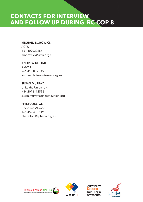### **CONTACTS FOR INTERVIEW AND FOLLOW UP DURING RC COP 8**

#### **MICHAEL BOROWICK**

ACTU +61 409022256 mborowick@actu.org.au

#### **ANDREW DETTMER**

AMWU +61 419 899 345 andrew.dettmer@amwu.org.au

#### **SUSAN MURRAY**

Unite the Union (UK) +44 2076112596 susan.murray@unitetheunion.org

#### **PHIL HAZELTON**

Union Aid Abroad +61 459 435 519 phazelton@apheda.org.au







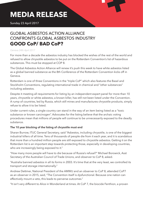### **MEDIA RELEASE**

Sunday 23 April 2017

### GLOBAL ASBESTOS ACTION ALLIANCE CONFRONTS GLOBAL ASBESTOS INDUSTRY **GOOD CoP/ BAD CoP?**

#### *Geneva 24th April 2017*

For more than a decade the asbestos industry has blocked the wishes of the rest of the world and refused to allow chrysotile asbestos to be put on the Rotterdam Convention's list of hazardous substances. This must be stopped at COP 8.

The Global Asbestos Action Alliance will renew it's push this week to have white asbestos listed as a global banned substance as the 8th Conference of the Rotterdam Convention kicks off in Geneva.

Rotterdam is one of three Conventions in the "triple CoP" which also features the Basel and Stockholm Conventions, regulating international trade in chemical and "other substances" including asbestos.

Despite it meeting all requirements for listing by an independent expert panel for more than 10 years, chrysotile or white asbestos, a known killer, has still not been listed under the Convention. A rump of countries, led by Russia, which still mines and manufactures chrysotile products, simply refuse to allow it to be listed.

Under current rules, a single country can stand in the way of an item being listed as a "toxic substance or known carcinogen". Advocates for the listing believe that the archaic voting procedures mean that millions of people will continue to be unnecessarily exposed to the deadly substance.

#### **The 10 year blocking of the listing of chrysotile must end**

Sharan Burrow, ITUC General Secretary, said "Asbestos, including chrysotile, is one of the biggest industrial killers of all time. Tens of thousands of people die from it each year, and it is scandalous that more than a hundred million people are still exposed to chrysotile asbestos. Getting it on the Rotterdam list is an important step towards protecting those, especially in developing countries, who are increasingly being exposed to it."

"How many more people will have to die because of Russia's refusal?" Michael Borowick, Asst Secretary of the Australian Council of Trade Unions, and observer to CoP 8, asked.

"Australia banned asbestos in all its forms in 2003. It's time that at the very least, we controlled its transport and storage internationally."

Andrew Dettmer, National President of the AMWU and an observer to CoP 8, attended CoP7 as an observer in 2015, said, "The Convention itself is dysfunctional. Because one nation can effectively mount a veto, this leads to perverse outcomes."

"It isn't very different to Alice in Wonderland at times. At CoP 7, the biocide Fenthion, a proven